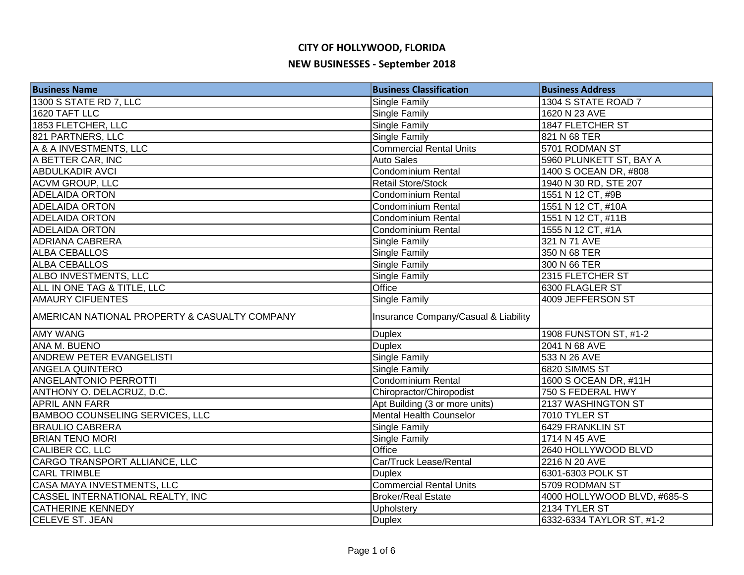| <b>Business Name</b>                          | <b>Business Classification</b>       | <b>Business Address</b>     |
|-----------------------------------------------|--------------------------------------|-----------------------------|
| 1300 S STATE RD 7, LLC                        | <b>Single Family</b>                 | 1304 S STATE ROAD 7         |
| 1620 TAFT LLC                                 | <b>Single Family</b>                 | 1620 N 23 AVE               |
| 1853 FLETCHER, LLC                            | <b>Single Family</b>                 | 1847 FLETCHER ST            |
| 821 PARTNERS, LLC                             | Single Family                        | 821 N 68 TER                |
| A & A INVESTMENTS, LLC                        | <b>Commercial Rental Units</b>       | 5701 RODMAN ST              |
| A BETTER CAR, INC                             | <b>Auto Sales</b>                    | 5960 PLUNKETT ST, BAY A     |
| <b>ABDULKADIR AVCI</b>                        | Condominium Rental                   | 1400 S OCEAN DR, #808       |
| <b>ACVM GROUP, LLC</b>                        | <b>Retail Store/Stock</b>            | 1940 N 30 RD, STE 207       |
| <b>ADELAIDA ORTON</b>                         | <b>Condominium Rental</b>            | 1551 N 12 CT, #9B           |
| <b>ADELAIDA ORTON</b>                         | Condominium Rental                   | 1551 N 12 CT, #10A          |
| <b>ADELAIDA ORTON</b>                         | Condominium Rental                   | 1551 N 12 CT, #11B          |
| <b>ADELAIDA ORTON</b>                         | <b>Condominium Rental</b>            | 1555 N 12 CT, #1A           |
| <b>ADRIANA CABRERA</b>                        | Single Family                        | 321 N 71 AVE                |
| <b>ALBA CEBALLOS</b>                          | <b>Single Family</b>                 | 350 N 68 TER                |
| <b>ALBA CEBALLOS</b>                          | <b>Single Family</b>                 | 300 N 66 TER                |
| ALBO INVESTMENTS, LLC                         | <b>Single Family</b>                 | 2315 FLETCHER ST            |
| ALL IN ONE TAG & TITLE, LLC                   | Office                               | 6300 FLAGLER ST             |
| <b>AMAURY CIFUENTES</b>                       | Single Family                        | 4009 JEFFERSON ST           |
| AMERICAN NATIONAL PROPERTY & CASUALTY COMPANY | Insurance Company/Casual & Liability |                             |
| <b>AMY WANG</b>                               | <b>Duplex</b>                        | 1908 FUNSTON ST, #1-2       |
| <b>ANA M. BUENO</b>                           | <b>Duplex</b>                        | 2041 N 68 AVE               |
| <b>ANDREW PETER EVANGELISTI</b>               | <b>Single Family</b>                 | 533 N 26 AVE                |
| <b>ANGELA QUINTERO</b>                        | <b>Single Family</b>                 | 6820 SIMMS ST               |
| ANGELANTONIO PERROTTI                         | Condominium Rental                   | 1600 S OCEAN DR, #11H       |
| ANTHONY O. DELACRUZ, D.C.                     | Chiropractor/Chiropodist             | 750 S FEDERAL HWY           |
| <b>APRIL ANN FARR</b>                         | Apt Building (3 or more units)       | 2137 WASHINGTON ST          |
| <b>BAMBOO COUNSELING SERVICES, LLC</b>        | <b>Mental Health Counselor</b>       | 7010 TYLER ST               |
| <b>BRAULIO CABRERA</b>                        | <b>Single Family</b>                 | 6429 FRANKLIN ST            |
| <b>BRIAN TENO MORI</b>                        | Single Family                        | 1714 N 45 AVE               |
| CALIBER CC, LLC                               | Office                               | 2640 HOLLYWOOD BLVD         |
| CARGO TRANSPORT ALLIANCE, LLC                 | Car/Truck Lease/Rental               | 2216 N 20 AVE               |
| <b>CARL TRIMBLE</b>                           | <b>Duplex</b>                        | 6301-6303 POLK ST           |
| CASA MAYA INVESTMENTS, LLC                    | <b>Commercial Rental Units</b>       | 5709 RODMAN ST              |
| CASSEL INTERNATIONAL REALTY, INC              | <b>Broker/Real Estate</b>            | 4000 HOLLYWOOD BLVD, #685-S |
| <b>CATHERINE KENNEDY</b>                      | Upholstery                           | 2134 TYLER ST               |
| <b>CELEVE ST. JEAN</b>                        | <b>Duplex</b>                        | 6332-6334 TAYLOR ST, #1-2   |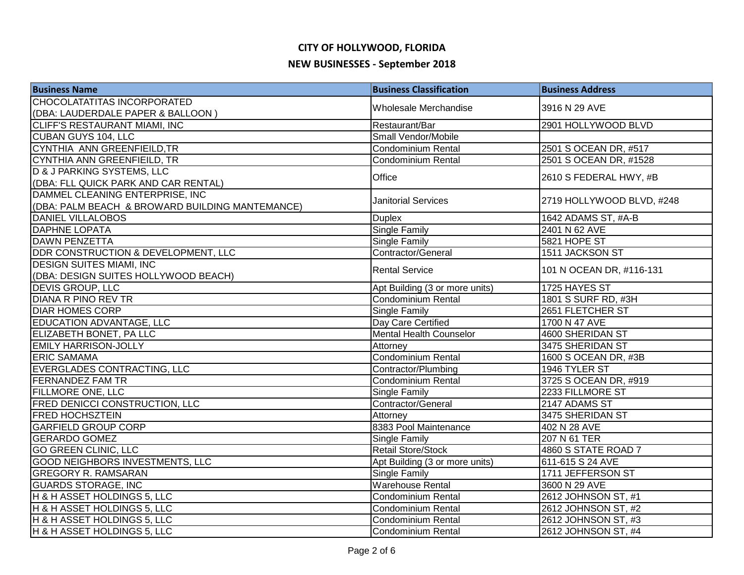| <b>Business Name</b>                            | <b>Business Classification</b> | <b>Business Address</b>   |
|-------------------------------------------------|--------------------------------|---------------------------|
| CHOCOLATATITAS INCORPORATED                     |                                |                           |
| (DBA: LAUDERDALE PAPER & BALLOON)               | Wholesale Merchandise          | 3916 N 29 AVE             |
| CLIFF'S RESTAURANT MIAMI, INC                   | Restaurant/Bar                 | 2901 HOLLYWOOD BLVD       |
| CUBAN GUYS 104, LLC                             | Small Vendor/Mobile            |                           |
| CYNTHIA ANN GREENFIEILD, TR                     | Condominium Rental             | 2501 S OCEAN DR, #517     |
| CYNTHIA ANN GREENFIEILD, TR                     | <b>Condominium Rental</b>      | 2501 S OCEAN DR, #1528    |
| <b>D &amp; J PARKING SYSTEMS, LLC</b>           | Office                         | 2610 S FEDERAL HWY, #B    |
| (DBA: FLL QUICK PARK AND CAR RENTAL)            |                                |                           |
| DAMMEL CLEANING ENTERPRISE, INC                 | <b>Janitorial Services</b>     | 2719 HOLLYWOOD BLVD, #248 |
| (DBA: PALM BEACH & BROWARD BUILDING MANTEMANCE) |                                |                           |
| <b>DANIEL VILLALOBOS</b>                        | <b>Duplex</b>                  | 1642 ADAMS ST, #A-B       |
| <b>DAPHNE LOPATA</b>                            | Single Family                  | 2401 N 62 AVE             |
| <b>DAWN PENZETTA</b>                            | Single Family                  | 5821 HOPE ST              |
| DDR CONSTRUCTION & DEVELOPMENT, LLC             | Contractor/General             | 1511 JACKSON ST           |
| <b>DESIGN SUITES MIAMI, INC</b>                 | <b>Rental Service</b>          |                           |
| (DBA: DESIGN SUITES HOLLYWOOD BEACH)            |                                | 101 N OCEAN DR, #116-131  |
| <b>DEVIS GROUP, LLC</b>                         | Apt Building (3 or more units) | 1725 HAYES ST             |
| <b>DIANA R PINO REV TR</b>                      | Condominium Rental             | 1801 S SURF RD, #3H       |
| <b>DIAR HOMES CORP</b>                          | <b>Single Family</b>           | 2651 FLETCHER ST          |
| EDUCATION ADVANTAGE, LLC                        | Day Care Certified             | 1700 N 47 AVE             |
| ELIZABETH BONET, PA LLC                         | Mental Health Counselor        | 4600 SHERIDAN ST          |
| <b>EMILY HARRISON-JOLLY</b>                     | Attorney                       | 3475 SHERIDAN ST          |
| <b>ERIC SAMAMA</b>                              | Condominium Rental             | 1600 S OCEAN DR, #3B      |
| EVERGLADES CONTRACTING, LLC                     | Contractor/Plumbing            | 1946 TYLER ST             |
| <b>FERNANDEZ FAM TR</b>                         | <b>Condominium Rental</b>      | 3725 S OCEAN DR, #919     |
| <b>FILLMORE ONE, LLC</b>                        | Single Family                  | 2233 FILLMORE ST          |
| FRED DENICCI CONSTRUCTION, LLC                  | Contractor/General             | 2147 ADAMS ST             |
| <b>FRED HOCHSZTEIN</b>                          | Attorney                       | 3475 SHERIDAN ST          |
| <b>GARFIELD GROUP CORP</b>                      | 8383 Pool Maintenance          | 402 N 28 AVE              |
| <b>GERARDO GOMEZ</b>                            | <b>Single Family</b>           | 207 N 61 TER              |
| <b>GO GREEN CLINIC, LLC</b>                     | <b>Retail Store/Stock</b>      | 4860 S STATE ROAD 7       |
| <b>GOOD NEIGHBORS INVESTMENTS, LLC</b>          | Apt Building (3 or more units) | 611-615 S 24 AVE          |
| <b>GREGORY R. RAMSARAN</b>                      | <b>Single Family</b>           | 1711 JEFFERSON ST         |
| <b>GUARDS STORAGE, INC</b>                      | <b>Warehouse Rental</b>        | 3600 N 29 AVE             |
| H & H ASSET HOLDINGS 5, LLC                     | <b>Condominium Rental</b>      | 2612 JOHNSON ST, #1       |
| H & H ASSET HOLDINGS 5, LLC                     | Condominium Rental             | 2612 JOHNSON ST, #2       |
| H & H ASSET HOLDINGS 5, LLC                     | Condominium Rental             | 2612 JOHNSON ST, #3       |
| H & H ASSET HOLDINGS 5, LLC                     | <b>Condominium Rental</b>      | 2612 JOHNSON ST, #4       |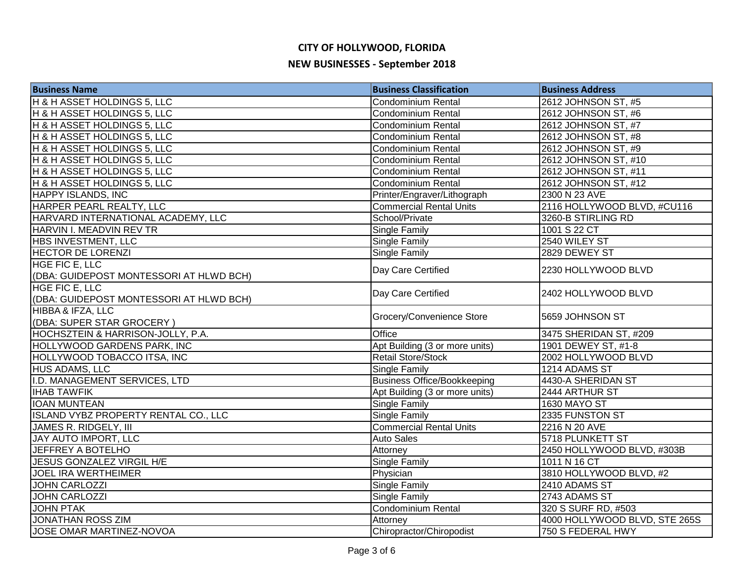| <b>Business Name</b>                    | <b>Business Classification</b>     | <b>Business Address</b>       |
|-----------------------------------------|------------------------------------|-------------------------------|
| H & H ASSET HOLDINGS 5, LLC             | <b>Condominium Rental</b>          | 2612 JOHNSON ST, #5           |
| H & H ASSET HOLDINGS 5, LLC             | <b>Condominium Rental</b>          | 2612 JOHNSON ST, #6           |
| H & H ASSET HOLDINGS 5, LLC             | Condominium Rental                 | 2612 JOHNSON ST, #7           |
| H & H ASSET HOLDINGS 5, LLC             | <b>Condominium Rental</b>          | 2612 JOHNSON ST, #8           |
| H & H ASSET HOLDINGS 5, LLC             | <b>Condominium Rental</b>          | 2612 JOHNSON ST, #9           |
| H & H ASSET HOLDINGS 5, LLC             | Condominium Rental                 | 2612 JOHNSON ST, #10          |
| H & H ASSET HOLDINGS 5, LLC             | <b>Condominium Rental</b>          | 2612 JOHNSON ST, #11          |
| H & H ASSET HOLDINGS 5, LLC             | Condominium Rental                 | 2612 JOHNSON ST, #12          |
| <b>HAPPY ISLANDS, INC</b>               | Printer/Engraver/Lithograph        | 2300 N 23 AVE                 |
| HARPER PEARL REALTY, LLC                | <b>Commercial Rental Units</b>     | 2116 HOLLYWOOD BLVD, #CU116   |
| HARVARD INTERNATIONAL ACADEMY, LLC      | School/Private                     | 3260-B STIRLING RD            |
| HARVIN I. MEADVIN REV TR                | Single Family                      | 1001 S 22 CT                  |
| HBS INVESTMENT, LLC                     | Single Family                      | 2540 WILEY ST                 |
| <b>HECTOR DE LORENZI</b>                | Single Family                      | 2829 DEWEY ST                 |
| HGE FIC E, LLC                          |                                    | 2230 HOLLYWOOD BLVD           |
| (DBA: GUIDEPOST MONTESSORI AT HLWD BCH) | Day Care Certified                 |                               |
| HGE FIC E, LLC                          | Day Care Certified                 | 2402 HOLLYWOOD BLVD           |
| (DBA: GUIDEPOST MONTESSORI AT HLWD BCH) |                                    |                               |
| HIBBA & IFZA, LLC                       | Grocery/Convenience Store          | 5659 JOHNSON ST               |
| (DBA: SUPER STAR GROCERY)               |                                    |                               |
| HOCHSZTEIN & HARRISON-JOLLY, P.A.       | Office                             | 3475 SHERIDAN ST, #209        |
| <b>HOLLYWOOD GARDENS PARK, INC</b>      | Apt Building (3 or more units)     | 1901 DEWEY ST, #1-8           |
| HOLLYWOOD TOBACCO ITSA, INC             | <b>Retail Store/Stock</b>          | 2002 HOLLYWOOD BLVD           |
| HUS ADAMS, LLC                          | Single Family                      | 1214 ADAMS ST                 |
| I.D. MANAGEMENT SERVICES, LTD           | <b>Business Office/Bookkeeping</b> | 4430-A SHERIDAN ST            |
| <b>IHAB TAWFIK</b>                      | Apt Building (3 or more units)     | 2444 ARTHUR ST                |
| <b>IOAN MUNTEAN</b>                     | <b>Single Family</b>               | <b>1630 MAYO ST</b>           |
| ISLAND VYBZ PROPERTY RENTAL CO., LLC    | <b>Single Family</b>               | 2335 FUNSTON ST               |
| <b>JAMES R. RIDGELY, III</b>            | <b>Commercial Rental Units</b>     | 2216 N 20 AVE                 |
| JAY AUTO IMPORT, LLC                    | <b>Auto Sales</b>                  | 5718 PLUNKETT ST              |
| <b>JEFFREY A BOTELHO</b>                | Attorney                           | 2450 HOLLYWOOD BLVD, #303B    |
| <b>JESUS GONZALEZ VIRGIL H/E</b>        | Single Family                      | 1011 N 16 CT                  |
| JOEL IRA WERTHEIMER                     | Physician                          | 3810 HOLLYWOOD BLVD, #2       |
| <b>JOHN CARLOZZI</b>                    | Single Family                      | 2410 ADAMS ST                 |
| <b>JOHN CARLOZZI</b>                    | <b>Single Family</b>               | 2743 ADAMS ST                 |
| <b>JOHN PTAK</b>                        | <b>Condominium Rental</b>          | 320 S SURF RD, #503           |
| JONATHAN ROSS ZIM                       | Attorney                           | 4000 HOLLYWOOD BLVD, STE 265S |
| JOSE OMAR MARTINEZ-NOVOA                | Chiropractor/Chiropodist           | 750 S FEDERAL HWY             |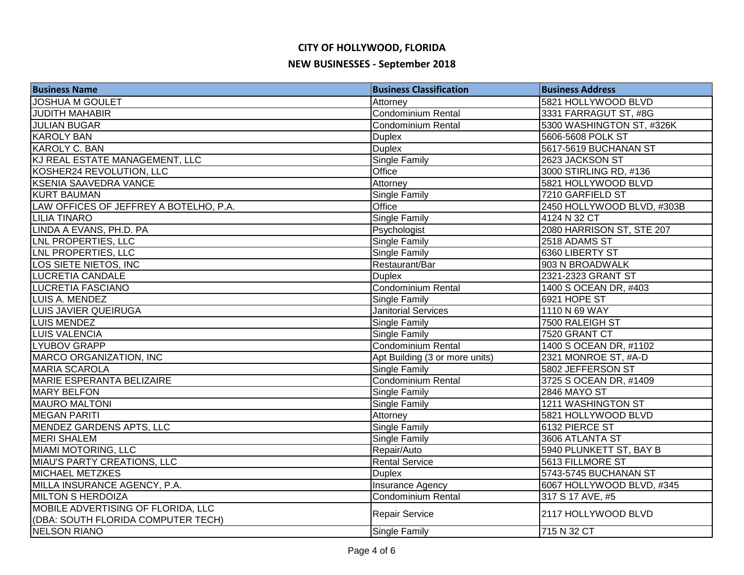| <b>Business Name</b>                   | <b>Business Classification</b> | <b>Business Address</b>    |
|----------------------------------------|--------------------------------|----------------------------|
| <b>JOSHUA M GOULET</b>                 | Attorney                       | 5821 HOLLYWOOD BLVD        |
| <b>JUDITH MAHABIR</b>                  | <b>Condominium Rental</b>      | 3331 FARRAGUT ST, #8G      |
| <b>JULIAN BUGAR</b>                    | Condominium Rental             | 5300 WASHINGTON ST, #326K  |
| <b>KAROLY BAN</b>                      | <b>Duplex</b>                  | 5606-5608 POLK ST          |
| <b>KAROLY C. BAN</b>                   | <b>Duplex</b>                  | 5617-5619 BUCHANAN ST      |
| KJ REAL ESTATE MANAGEMENT, LLC         | <b>Single Family</b>           | 2623 JACKSON ST            |
| KOSHER24 REVOLUTION, LLC               | Office                         | 3000 STIRLING RD, #136     |
| <b>KSENIA SAAVEDRA VANCE</b>           | Attorney                       | 5821 HOLLYWOOD BLVD        |
| <b>KURT BAUMAN</b>                     | Single Family                  | 7210 GARFIELD ST           |
| LAW OFFICES OF JEFFREY A BOTELHO, P.A. | Office                         | 2450 HOLLYWOOD BLVD, #303B |
| <b>LILIA TINARO</b>                    | Single Family                  | 4124 N 32 CT               |
| LINDA A EVANS, PH.D. PA                | Psychologist                   | 2080 HARRISON ST, STE 207  |
| LNL PROPERTIES, LLC                    | Single Family                  | 2518 ADAMS ST              |
| LNL PROPERTIES, LLC                    | Single Family                  | 6360 LIBERTY ST            |
| LOS SIETE NIETOS, INC                  | Restaurant/Bar                 | 903 N BROADWALK            |
| <b>LUCRETIA CANDALE</b>                | <b>Duplex</b>                  | 2321-2323 GRANT ST         |
| LUCRETIA FASCIANO                      | Condominium Rental             | 1400 S OCEAN DR, #403      |
| LUIS A. MENDEZ                         | <b>Single Family</b>           | 6921 HOPE ST               |
| LUIS JAVIER QUEIRUGA                   | <b>Janitorial Services</b>     | 1110 N 69 WAY              |
| LUIS MENDEZ                            | Single Family                  | 7500 RALEIGH ST            |
| LUIS VALENCIA                          | <b>Single Family</b>           | 7520 GRANT CT              |
| LYUBOV GRAPP                           | Condominium Rental             | 1400 S OCEAN DR, #1102     |
| MARCO ORGANIZATION, INC                | Apt Building (3 or more units) | 2321 MONROE ST, #A-D       |
| <b>MARIA SCAROLA</b>                   | <b>Single Family</b>           | 5802 JEFFERSON ST          |
| MARIE ESPERANTA BELIZAIRE              | <b>Condominium Rental</b>      | 3725 S OCEAN DR, #1409     |
| MARY BELFON                            | Single Family                  | <b>2846 MAYO ST</b>        |
| <b>MAURO MALTONI</b>                   | <b>Single Family</b>           | <b>1211 WASHINGTON ST</b>  |
| <b>MEGAN PARITI</b>                    | Attorney                       | 5821 HOLLYWOOD BLVD        |
| MENDEZ GARDENS APTS, LLC               | Single Family                  | 6132 PIERCE ST             |
| <b>MERI SHALEM</b>                     | <b>Single Family</b>           | 3606 ATLANTA ST            |
| MIAMI MOTORING, LLC                    | Repair/Auto                    | 5940 PLUNKETT ST, BAY B    |
| <b>MIAU'S PARTY CREATIONS, LLC</b>     | <b>Rental Service</b>          | 5613 FILLMORE ST           |
| <b>MICHAEL METZKES</b>                 | <b>Duplex</b>                  | 5743-5745 BUCHANAN ST      |
| MILLA INSURANCE AGENCY, P.A.           | Insurance Agency               | 6067 HOLLYWOOD BLVD, #345  |
| <b>MILTON S HERDOIZA</b>               | <b>Condominium Rental</b>      | 317 S 17 AVE, #5           |
| MOBILE ADVERTISING OF FLORIDA, LLC     | Repair Service                 | 2117 HOLLYWOOD BLVD        |
| (DBA: SOUTH FLORIDA COMPUTER TECH)     |                                |                            |
| <b>NELSON RIANO</b>                    | <b>Single Family</b>           | 715 N 32 CT                |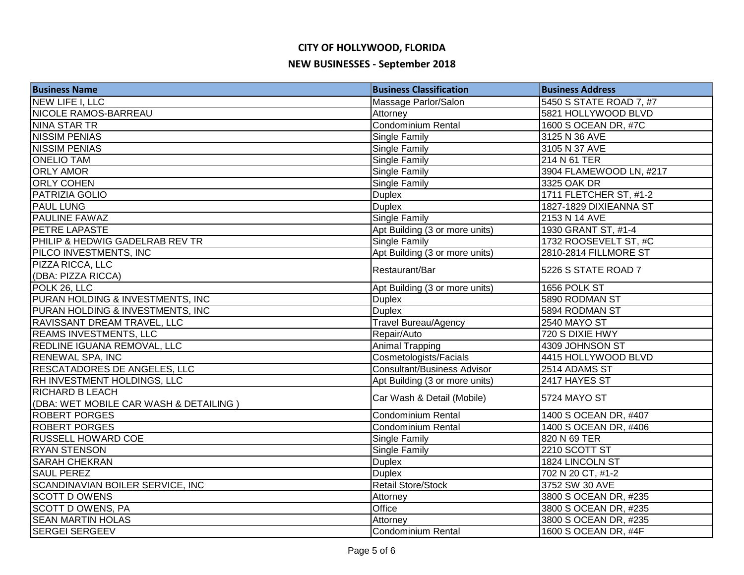| <b>Business Name</b>                                             | <b>Business Classification</b>     | <b>Business Address</b> |
|------------------------------------------------------------------|------------------------------------|-------------------------|
| NEW LIFE I, LLC                                                  | Massage Parlor/Salon               | 5450 S STATE ROAD 7, #7 |
| <b>NICOLE RAMOS-BARREAU</b>                                      | Attorney                           | 5821 HOLLYWOOD BLVD     |
| NINA STAR TR                                                     | <b>Condominium Rental</b>          | 1600 S OCEAN DR, #7C    |
| <b>NISSIM PENIAS</b>                                             | Single Family                      | 3125 N 36 AVE           |
| <b>NISSIM PENIAS</b>                                             | Single Family                      | 3105 N 37 AVE           |
| <b>ONELIO TAM</b>                                                | <b>Single Family</b>               | 214 N 61 TER            |
| <b>ORLY AMOR</b>                                                 | <b>Single Family</b>               | 3904 FLAMEWOOD LN, #217 |
| <b>ORLY COHEN</b>                                                | <b>Single Family</b>               | 3325 OAK DR             |
| <b>PATRIZIA GOLIO</b>                                            | <b>Duplex</b>                      | 1711 FLETCHER ST, #1-2  |
| <b>PAUL LUNG</b>                                                 | <b>Duplex</b>                      | 1827-1829 DIXIEANNA ST  |
| <b>PAULINE FAWAZ</b>                                             | <b>Single Family</b>               | 2153 N 14 AVE           |
| <b>PETRE LAPASTE</b>                                             | Apt Building (3 or more units)     | 1930 GRANT ST, #1-4     |
| PHILIP & HEDWIG GADELRAB REV TR                                  | <b>Single Family</b>               | 1732 ROOSEVELT ST, #C   |
| PILCO INVESTMENTS, INC                                           | Apt Building (3 or more units)     | 2810-2814 FILLMORE ST   |
| PIZZA RICCA, LLC                                                 | Restaurant/Bar                     | 5226 S STATE ROAD 7     |
| (DBA: PIZZA RICCA)                                               |                                    |                         |
| POLK 26, LLC                                                     | Apt Building (3 or more units)     | 1656 POLK ST            |
| PURAN HOLDING & INVESTMENTS, INC                                 | <b>Duplex</b>                      | 5890 RODMAN ST          |
| PURAN HOLDING & INVESTMENTS, INC                                 | <b>Duplex</b>                      | 5894 RODMAN ST          |
| RAVISSANT DREAM TRAVEL, LLC                                      | <b>Travel Bureau/Agency</b>        | <b>2540 MAYO ST</b>     |
| <b>REAMS INVESTMENTS, LLC</b>                                    | Repair/Auto                        | 720 S DIXIE HWY         |
| <b>REDLINE IGUANA REMOVAL, LLC</b>                               | <b>Animal Trapping</b>             | 4309 JOHNSON ST         |
| <b>RENEWAL SPA, INC</b>                                          | Cosmetologists/Facials             | 4415 HOLLYWOOD BLVD     |
| <b>RESCATADORES DE ANGELES, LLC</b>                              | <b>Consultant/Business Advisor</b> | 2514 ADAMS ST           |
| RH INVESTMENT HOLDINGS, LLC                                      | Apt Building (3 or more units)     | 2417 HAYES ST           |
| <b>RICHARD B LEACH</b><br>(DBA: WET MOBILE CAR WASH & DETAILING) | Car Wash & Detail (Mobile)         | 5724 MAYO ST            |
| <b>ROBERT PORGES</b>                                             | <b>Condominium Rental</b>          | 1400 S OCEAN DR, #407   |
| <b>ROBERT PORGES</b>                                             | Condominium Rental                 | 1400 S OCEAN DR, #406   |
| <b>RUSSELL HOWARD COE</b>                                        | <b>Single Family</b>               | 820 N 69 TER            |
| <b>RYAN STENSON</b>                                              | Single Family                      | 2210 SCOTT ST           |
| <b>SARAH CHEKRAN</b>                                             | <b>Duplex</b>                      | 1824 LINCOLN ST         |
| <b>SAUL PEREZ</b>                                                | <b>Duplex</b>                      | 702 N 20 CT, #1-2       |
| SCANDINAVIAN BOILER SERVICE, INC                                 | <b>Retail Store/Stock</b>          | 3752 SW 30 AVE          |
| <b>SCOTT D OWENS</b>                                             |                                    | 3800 S OCEAN DR, #235   |
| <b>SCOTT D OWENS, PA</b>                                         | Attorney<br>Office                 | 3800 S OCEAN DR, #235   |
| <b>SEAN MARTIN HOLAS</b>                                         | Attorney                           | 3800 S OCEAN DR, #235   |
| <b>SERGEI SERGEEV</b>                                            | Condominium Rental                 | 1600 S OCEAN DR, #4F    |
|                                                                  |                                    |                         |